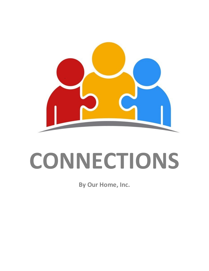

# **CONNECTIONS**

**By Our Home, Inc.**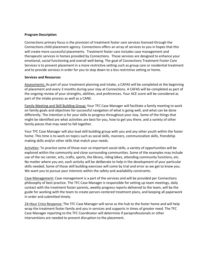# **Program Description**

Connections primary focus is the provision of treatment foster care services licensed through the Connections child placement agency. Connections offers an array of services to you in hopes that this will create more successful placements. Treatment foster care includes case management and therapeutic services in homes provided by Connections. Those services are designed to enhance your emotional, social functioning and overall well-being. The goal of Connections Treatment Foster Care Services is to prevent placement in a more restrictive setting such as group care or residential treatment and to provide services in order for you to step down to a less restrictive setting or home.

#### **Services and Resources**

Assessments: As part of your treatment planning and intake, a CAFAS will be completed at the beginning of placement and every 3 months during your stay at Connections. A CAFAS will be completed as part of the ongoing review of your strengths, abilities, and preferences. Your ACE score will be considered as part of the intake process as well as a CANS.

Family Meeting and Skill Building Group: Your TFC Case Manager will facilitate a family meeting to work on family goals and objectives for successful navigation of what is going well, and what can be done differently. The intention is for your skills to progress throughout your stay. Some of the things that might be identified are what activities are best for you, how to get you there, and a variety of other family pieces that may need to fall together.

Your TFC Case Manager will also lead skill building group with you and any other youth within the foster home. This time is to work on topics such as social skills, manners, communication skills, friendship making skills and/or other skills that match your needs.

Activities: To practice some of those ever so important social skills, a variety of opportunities will be explored within the community and close surrounding communities. Some of the examples may include use of the rec center, arts, crafts, sports, the library, riding bikes, attending community functions, etc. No matter where you are, each activity will be deliberate to help in the development of your particular skills needed. Some of those skill building exercises will come by trial and error as we get to know you. We want you to pursue your interests within the safety and availability constraints.

Case Management: Case management is a part of the services and will be provided per Connections philosophy of best practice. The TFC Case Manager is responsible for setting up team meetings, daily contact with the treatment foster parents, weekly progress reports delivered to the team, will be the guide for working with the team to create person-centered treatment plans, and keeping all paperwork in order and submitted timely.

24-Hour Crisis Response: The TFC Case Manager will serve as the hub to the foster home and will help wrap the treatment foster family and you in services and supports in times of greater need. The TFC Case Manager reporting to the TFC Coordinator will determine if paraprofessionals or other interventions are needed to prevent disruption to the placement.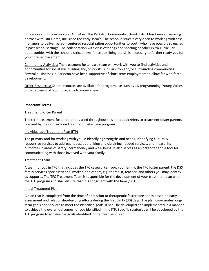Education and Extra-curricular Activities: The Parkston Community School district has been an amazing partner with Our Home, Inc. since the early 1990's. The school district is very open to working with case managers to deliver person-centered resocialization opportunities to youth who have possibly struggled in past school settings. The collaboration with class offerings and sporting or other extra-curricular opportunities with the school district allows for streamlining the skills necessary to further ready you for your forever placement.

Community Activities: The treatment foster care team will work with you to find activities and opportunities for social skill building and/or job skills in Parkston and/or surrounding communities. Several businesses in Parkston have been supportive of short-term employment to allow for workforce development.

Other Resources: Other resources are available for program use such as ILS programming, Young Voices, or department of labor programs to name a few.

## **Important Terms**

## Treatment Foster Parent

The term treatment foster parent as used throughout this handbook refers to treatment foster parents licensed by the Connections treatment foster care program.

## Individualized Treatment Plan (ITP)

The primary tool for working with you in identifying strengths and needs, identifying culturally responsive services to address needs, authorizing and obtaining needed services, and measuring outcomes in areas of safety, permanency and well- being. It also serves as an organizer and a tool for communicating with those involved with your family.

# Treatment Team

A team for you in TFC that includes the TFC caseworker, you, your family, the TFC foster parent, the DSS family services specialist/tribal worker, and others, e.g. therapist, teacher, and others you may identify as supports. The TFC Treatment Team is responsible for the development of your treatment plan within the TFC program and shall ensure that it is congruent with the family's ITP.

#### Initial Treatment Plan

A plan that is completed from the time of admission to therapeutic foster care and is based on early assessment and relationship-building efforts during the first thirty (30) days. The plan coordinates longterm goals and services to meet the identified goals. It shall be developed and implemented in a manner to achieve the overall outcomes for you identified in the ITP. Specific strategies will be developed by the TFC program to achieve the goals identified in the treatment plan.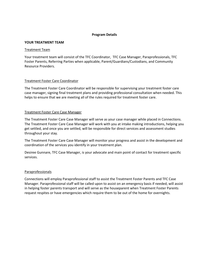## **Program Details**

#### **YOUR TREATMENT TEAM**

#### Treatment Team

Your treatment team will consist of the TFC Coordinator, TFC Case Manager, Paraprofessionals, TFC Foster Parents, Referring Parties when applicable, Parent/Guardians/Custodians, and Community Resource Providers.

# Treatment Foster Care Coordinator

The Treatment Foster Care Coordinator will be responsible for supervising your treatment foster care case manager, signing final treatment plans and providing professional consultation when needed. This helps to ensure that we are meeting all of the rules required for treatment foster care.

# Treatment Foster Care Case Manager

The Treatment Foster Care Case Manager will serve as your case manager while placed in Connections. The Treatment Foster Care Case Manager will work with you at intake making introductions, helping you get settled, and once you are settled, will be responsible for direct services and assessment studies throughout your stay.

The Treatment Foster Care Case Manager will monitor your progress and assist in the development and coordination of the services you identify in your treatment plan.

Desiree Gunnare, TFC Case Manager, is your advocate and main point of contact for treatment specific services.

# Paraprofessionals

Connections will employ Paraprofessional staff to assist the Treatment Foster Parents and TFC Case Manager. Paraprofessional staff will be called upon to assist on an emergency basis if needed, will assist in helping foster parents transport and will serve as the houseparent when Treatment Foster Parents request respites or have emergencies which require them to be out of the home for overnights.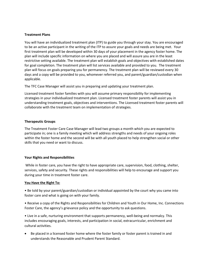# **Treatment Plans**

You will have an individualized treatment plan (ITP) to guide you through your stay. You are encouraged to be an active participant in the writing of the ITP to assure your goals and needs are being met. Your first treatment plan will be developed within 30 days of your placement in the agency foster home. The plan will include specific information on where you are placed and will assure you are in the least restrictive setting available. The treatment plan will establish goals and objectives with established dates for goal completion. The treatment plan will list services available and provided to you. The treatment plan will focus on goals preparing you for permanency. The treatment plan will be reviewed every 30 days and a copy will be provided to you, whomever referred you, and parent/guardian/custodian when applicable.

The TFC Case Manager will assist you in preparing and updating your treatment plan.

Licensed treatment foster families with you will assume primary responsibility for implementing strategies in your individualized treatment plan. Licensed treatment foster parents will assist you in understanding treatment goals, objectives and interventions. The Licensed treatment foster parents will collaborate with the treatment team on implementation of strategies.

# **Therapeutic Groups**

The Treatment Foster Care Case Manager will lead two groups a month which you are expected to participate in; one is a family meeting which will address strengths and needs of your ongoing roles within the foster home and the second will be with all youth placed to help strengthen social or other skills that you need or want to discuss.

# **Your Rights and Responsibilities**

While in foster care, you have the right to have appropriate care, supervision, food, clothing, shelter, services, safety and security. These rights and responsibilities will help to encourage and support you during your time in treatment foster care.

# **You Have the Right To:**

• Be told by your parent/guardian/custodian or individual appointed by the court why you came into foster care and what is going on with your family.

• Receive a copy of the Rights and Responsibilities for Children and Youth in Our Home, Inc. Connections Foster Care, the agency's grievance policy and the opportunity to ask questions.

• Live in a safe, nurturing environment that supports permanency, well-being and normalcy. This includes encouraging goals, interests, and participation in social, extracurricular, enrichment and cultural activities.

• Be placed in a licensed foster home where the foster family or foster parent is trained in and understands the Reasonable and Prudent Parent Standard.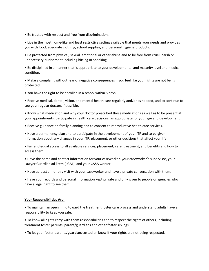• Be treated with respect and free from discrimination.

• Live in the most home-like and least restrictive setting available that meets your needs and provides you with food, adequate clothing, school supplies, and personal hygiene products.

• Be protected from physical, sexual, emotional or other abuse and to be free from cruel, harsh or unnecessary punishment including hitting or spanking.

• Be disciplined in a manner that is appropriate to your developmental and maturity level and medical condition.

• Make a complaint without fear of negative consequences if you feel like your rights are not being protected.

• You have the right to be enrolled in a school within 5 days.

• Receive medical, dental, vision, and mental health care regularly and/or as needed, and to continue to see your regular doctors if possible.

• Know what medication and why your doctor prescribed those medications as well as to be present at your appointments, participate in health care decisions, as appropriate for your age and development.

• Receive guidance on family planning and to consent to reproductive health care services.

• Have a permanency plan and to participate in the development of your ITP and to be given information about any changes in your ITP, placement, or other decisions that affect your life.

• Fair and equal access to all available services, placement, care, treatment, and benefits and how to access them.

• Have the name and contact information for your caseworker, your caseworker's supervisor, your Lawyer Guardian ad litem (LGAL), and your CASA worker.

• Have at least a monthly visit with your caseworker and have a private conversation with them.

• Have your records and personal information kept private and only given to people or agencies who have a legal right to see them.

#### **Your Responsibilities Are:**

• To maintain an open mind toward the treatment foster care process and understand adults have a responsibility to keep you safe.

• To know all rights carry with them responsibilities and to respect the rights of others, including treatment foster parents, parent/guardians and other foster siblings.

• To let your foster parents/guardian/custodian know if your rights are not being respected.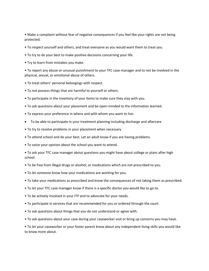• Make a complaint without fear of negative consequences if you feel like your rights are not being protected.

- To respect yourself and others, and treat everyone as you would want them to treat you.
- To try to do your best to make positive decisions concerning your life.
- Try to learn from mistakes you make.

• To report any abuse or unusual punishment to your TFC case manager and to not be involved in the physical, sexual, or emotional abuse of others.

- To treat others' personal belongings with respect.
- To not possess things that are harmful to yourself or others.
- To participate in the inventory of your items to make sure they stay with you.
- To ask questions about your placement and be open-minded to the information learned.
- To express your preference in where and with whom you want to live.
- To be able to participate in your treatment planning including discharge and aftercare
- To try to resolve problems in your placement when necessary
- To attend school and do your best. Let an adult know if you are having problems.
- To voice your opinion about the school you want to attend.

• To ask your TFC case manager about questions you might have about college or plans after high school.

- To be free from illegal drugs or alcohol, or medications which are not prescribed to you.
- To let someone know how your medications are working for you.
- To take your medications as prescribed and know the consequences of not taking them as prescribed.
- To let your TFC case manager know if there is a specific doctor you would like to go to.
- To be actively involved in your ITP and to advocate for your needs.
- To participate in services that are recommended for you or ordered through the court.
- To ask questions about things that you do not understand or agree with.
- To ask questions about your case during your caseworker visit or bring up concerns you may have.

• To let your caseworker or your foster parent know about any independent living skills you would like to know more about.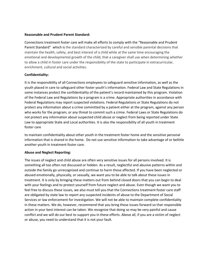## **Reasonable and Prudent Parent Standard:**

Connections treatment foster care will make all efforts to comply with the "Reasonable and Prudent Parent Standard" which is the standard characterized by careful and sensible parental decisions that maintain the health, safety, and best interest of a child while at the same time encouraging the emotional and developmental growth of the child, that a caregiver shall use when determining whether to allow a child in foster care under the responsibility of the state to participate in extracurricular, enrichment, cultural and social activities.

# **Confidentiality:**

It is the responsibility of all Connections employees to safeguard sensitive information, as well as the youth placed in care to safeguard other foster youth's information. Federal Law and State Regulations in some instances protect the confidentiality of the patient's record maintained by this program. Violation of the Federal Law and Regulations by a program is a crime. Appropriate authorities in accordance with Federal Regulations may report suspected violations. Federal Regulations or State Regulations do not protect any information about a crime committed by a patient either at the program, against any person who works for the program, or any threat to commit such a crime. Federal Laws or State Regulations do not protect any information about suspected child abuse or neglect from being reported under State Law to appropriate State and Local authorities. It is also the responsibility of all youth in treatment foster care

to maintain confidentiality about other youth in the treatment foster home and the sensitive personal information that is shared in the home. Do not use sensitive information to take advantage of or belittle another youth in treatment foster care.

# **Abuse and Neglect Reporting:**

The issues of neglect and child abuse are often very sensitive issues for all persons involved. It is something all too often not discussed or hidden. As a result, neglectful and abusive patterns within and outside the family go unrecognized and continue to harm those affected. If you have been neglected or abused emotionally, physically, or sexually, we want you to be able to talk about these issues in treatment. It is only by bringing these matters out from behind closed doors that you can begin to deal with your feelings and to protect yourself from future neglect and abuse. Even though we want you to feel free to discuss these issues, we also must tell you that the Connections treatment foster care staff are obligated by state law to report any suspected incidents of abuse to the Department of Social Services or law enforcement for investigation. We will not be able to maintain complete confidentiality in these matters. We do, however, recommend that you bring these issues forward so that responsible action in your best interest can be taken. We recognize that doing so may be very painful and cause conflict and we will do our best to support you in these efforts. Above all, if you are a victim of neglect or abuse, you need to understand that it is not your fault.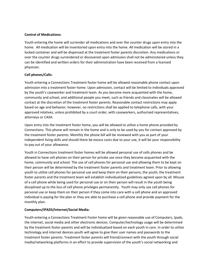# **Control of Medications:**

Youth entering the home will surrender all medications and over the counter drugs upon entry into the home. All medication will be inventoried upon entry into the home. All medication will be stored in a locked container and will be dispensed at the treatment foster parents discretion. Any medications or over the counter drugs surrendered or discovered upon admission shall not be administered unless they can be identified and written orders for their administration have been received from a licensed physician.

# **Cell phones/Calls:**

Youth entering a Connections Treatment foster home will be allowed reasonable phone contact upon admission into a treatment foster home. Upon admission, contact will be limited to individuals approved by the youth's caseworker and treatment team. As you become more acquainted with the home, community and school, and additional people you meet, such as friends and classmates will be allowed contact at the discretion of the treatment foster parents. Reasonable contact restrictions may apply based on age and behavior, however, no restrictions shall be applied to telephone calls, with your approved relatives, unless prohibited by a court order, with caseworkers, authorized representatives, attorneys or CASA.

Upon entry into the treatment foster home, you will be allowed to utilize a home phone provided by Connections. This phone will remain in the home and is only to be used by you for contact approved by the treatment foster parents. Monthly the phone bill will be reviewed with you as part of your independent living skills and should there be excess costs due to your use, it will be your responsibility to pay out of your allowance.

Youth in Connections treatment foster homes will be allowed personal use of cells phones and be allowed to have cell phones on their person for private use once they become acquainted with the home, community and school. The use of cell phones for personal use and allowing them to be kept on their person will be determined by the treatment foster parents and treatment team. Prior to allowing youth to utilize cell phones for personal use and keep them on their persons, the youth, the treatment foster parents and the treatment team will establish individualized guidelines agreed upon by all. Misuse of a cell phone while being used for personal use or on their person will result in the youth being disciplined up to the loss of cell phone privileges permanently. Youth may only use cell phones for personal use or keep them on their person if they come into care with a cell phone and an approved individual is paying for the plan or they are able to purchase a cell phone and provide payment for the monthly plan.

# **Computers/IPADS/Internet/Social Media:**

Youth entering a Connections Treatment Foster home will be given reasonable use of Computers, Ipads, the internet, social media and other electronic devices. Computer/technology usage will be determined by the treatment foster parents and will be individualized based on each youth in care. In order to utilize technology and internet devices youth will agree to give their user names and passwords to the treatment foster parents. Treatment foster parents will friend/connect with the youth through social media/networking platforms in an effort to provide supervision of the youth's social networking and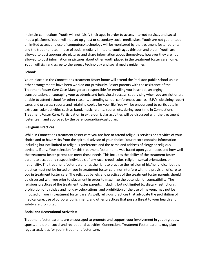maintain connections. Youth will not falsify their ages in order to access internet services and social media platforms. Youth will not set up ghost or secondary social media sites. Youth are not guaranteed unlimited access and use of computers/technology will be monitored by the treatment foster parents and the treatment team. Use of social media is limited to youth ages thirteen and older. Youth are allowed to post appropriate pictures and share information about themselves, however they are not allowed to post information or pictures about other youth placed in the treatment foster care home. Youth will sign and agree to the agency technology and social media guidelines.

## **School:**

Youth placed in the Connections treatment foster home will attend the Parkston public school unless other arrangements have been worked out previously. Foster parents with the assistance of the Treatment Foster Care Case Manager are responsible for enrolling you in school, arranging transportation, encouraging your academic and behavioral success, supervising when you are sick or are unable to attend school for other reasons, attending school conferences such as I.E.P.'s, obtaining report cards and progress reports and retaining copies for your file. You will be encouraged to participate in extracurricular activities such as band, music, drama, sports, etc. during your time in Connections Treatment Foster Care. Participation in extra-curricular activities will be discussed with the treatment foster team and approved by the parent/guardian/custodian.

## **Religious Practices:**

While in Connections treatment foster care you are free to attend religious services or activities of your choice and to have visits from the spiritual advisor of your choice. Your record contains information including but not limited to religious preference and the name and address of clergy or religious advisors, if any. Your selection for this treatment foster home was based upon your needs and how well the treatment foster parent can meet those needs. This includes the ability of the treatment foster parent to accept and respect individuals of any race, creed, color, religion, sexual orientation, or nationality. The treatment foster parent has the right to practice the religion of his/her choice, but the practice must not be forced on you in treatment foster care, nor interfere with the provision of care to you in treatment foster care. The religious beliefs and practices of the treatment foster parents should be discussed with you prior to placement in order to maximize the potential for compatibility. The religious practices of the treatment foster parents, including but not limited to, dietary restrictions, prohibition of birthday and holiday celebrations, and prohibition of the use of makeup, may not be imposed on you in treatment foster care. As well, religious practices that advocate the prohibition of medical care, use of corporal punishment, and other practices that pose a threat to your health and safety are prohibited.

# **Social and Recreational Activities:**

Treatment foster parents are encouraged to promote and support your involvement in youth groups, sports, and other social and recreational activities. Connections Treatment Foster parents may plan regular activities for you in treatment foster care.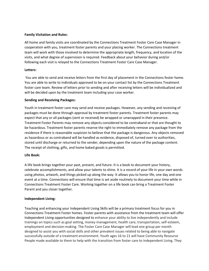## **Family Visitation and Rules:**

All home and family visits are coordinated by the Connections Treatment Foster Care Case Manager in cooperation with you, treatment foster parents and your placing worker. The Connections treatment team will work with those involved to determine the appropriate length, frequency, and location of the visits, and what degree of supervision is required. Feedback about your behavior during and/or following each visit is relayed to the Connections Treatment Foster Care Case Manager.

# **Letters:**

You are able to send and receive letters from the first day of placement in the Connections foster home. You are able to write to individuals approved to be on your contact list by the Connections Treatment foster care team. Review of letters prior to sending and after receiving letters will be individualized and will be decided upon by the treatment team including your case worker.

## **Sending and Receiving Packages:**

Youth in treatment foster care may send and receive packages. However, any sending and receiving of packages must be done through approval by treatment foster parents. Treatment foster parents may expect that any or all packages (sent or received) be wrapped or unwrapped in their presence. Treatment Foster Parents may remove any objects considered to be contraband or that are thought to be hazardous. Treatment foster parents reserve the right to immediately remove any package from the residence if there is reasonable suspicion to believe that the package is dangerous. Any objects removed as hazardous or as contraband will be handled as evidence, disposed of, turned over to authorities, stored until discharge or returned to the sender, depending upon the nature of the package content. The receipt of clothing, gifts, and home baked goods is permitted.

# **Life Book:**

A life book brings together your past, present, and future. It is a book to document your history, celebrate accomplishments, and allow your talents to shine. It is a record of your life in your own words using photos, artwork, and things picked up along the way. It allows you to honor life, one day and one event at a time. Connections will ensure that time is set aside routinely to document your time while in Connections Treatment Foster Care. Working together on a life book can bring a Treatment Foster Parent and you closer together.

# **Independent Living:**

Teaching and enhancing your Independent Living Skills will be a primary treatment focus for you in Connections Treatment Foster homes. Foster parents with assistance from the treatment team will offer Independent Living opportunities designed to enhance your ability to live independently and include trainings on topics such as goal setting, money management, health care, transportation, self-esteem, employment and decision-making. The Foster Care Case Manager will lead one group per month designed to assist you with social skills and other prevalent issues related to being able to navigate successfully outside of a treatment environment. Youth ages 16 to 21 will have Community Resource People made available to them to help with the transition from foster care to Independent Living. They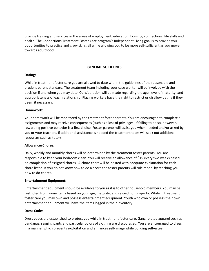provide training and services in the areas of employment, education, housing, connections, life skills and health. The Connections Treatment Foster Care program's Independent Living goal is to provide you opportunities to practice and grow skills, all while allowing you to be more self-sufficient as you move towards adulthood.

# **GENERAL GUIDELINES**

## **Dating:**

While in treatment foster care you are allowed to date within the guidelines of the reasonable and prudent parent standard. The treatment team including your case worker will be involved with the decision if and when you may date. Consideration will be made regarding the age, level of maturity, and appropriateness of each relationship. Placing workers have the right to restrict or disallow dating if they deem it necessary.

## **Homework:**

Your homework will be monitored by the treatment foster parents. You are encouraged to complete all assignments and may receive consequences (such as a loss of privileges) if failing to do so, however, rewarding positive behavior is a first choice. Foster parents will assist you when needed and/or asked by you or your teachers. If additional assistance is needed the treatment team will seek out additional resources such as tutors.

#### **Allowance/Chores:**

Daily, weekly and monthly chores will be determined by the treatment foster parents. You are responsible to keep your bedroom clean. You will receive an allowance of \$15 every two weeks based on completion of assigned chores. A chore chart will be posted with adequate explanation for each chore listed. If you do not know how to do a chore the foster parents will role model by teaching you how to do chores.

#### **Entertainment Equipment:**

Entertainment equipment should be available to you as it is to other household members. You may be restricted from some items based on your age, maturity, and respect for property. While in treatment foster care you may own and possess entertainment equipment. Youth who own or possess their own entertainment equipment will have the items logged in their inventory.

# **Dress Codes:**

Dress codes are established to protect you while in treatment foster care. Gang related apparel such as bandanas, sagging pants and particular colors of clothing are discouraged. You are encouraged to dress in a manner which prevents exploitation and enhances self-image while building self-esteem.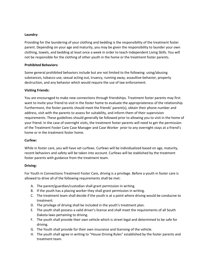# **Laundry:**

Providing for the laundering of your clothing and bedding is the responsibility of the treatment foster parent. Depending on your age and maturity, you may be given the responsibility to launder your own clothing, towels, and bedding at least once a week in order to teach Independent Living Skills. You will not be responsible for the clothing of other youth in the home or the treatment foster parents.

# **Prohibited Behaviors:**

Some general prohibited behaviors include but are not limited to the following: using/abusing substances, tobacco use, sexual acting out, truancy, running away, assaultive behavior, property destruction, and any behavior which would require the use of law enforcement.

# **Visiting Friends:**

You are encouraged to make new connections through friendships. Treatment foster parents may first want to invite your friend to visit in the foster home to evaluate the appropriateness of the relationship. Furthermore, the foster parents should meet the friends' parent(s), obtain their phone number and address, visit with the parents to assess for suitability, and inform them of their supervision requirements. These guidelines should generally be followed prior to allowing you to visit in the home of your friend. In the case of overnight visits, the treatment foster parents will need to get the permission of the Treatment Foster Care Case Manager and Case Worker prior to any overnight stays at a friend's home or in the treatment foster home.

# **Curfew:**

While in foster care, you will have set curfews. Curfews will be individualized based on age, maturity, recent behaviors and safety will be taken into account. Curfews will be stablished by the treatment foster parents with guidance from the treatment team.

# **Driving:**

For Youth in Connections Treatment Foster Care, driving is a privilege. Before a youth in foster care is allowed to drive all of the following requirements shall be met:

- A. The parent/guardian/custodian shall grant permission in writing.
- B. If the youth has a placing worker they shall grant permission in writing.
- C. The treatment team shall decide if the youth is at a point where driving would be conducive to treatment.
- D. The privilege of driving shall be included in the youth's treatment plan.
- E. The youth shall possess a valid driver's license and shall meet the requirements of all South Dakota laws pertaining to driving.
- F. The youth shall provide their own vehicle which is street legal and determined to be safe for driving.
- G. The Youth shall provide for their own insurance and licensing of the vehicle.
- H. The youth shall agree in writing to "House Driving Rules" established by the foster parents and treatment team.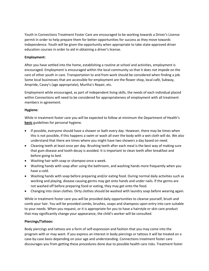Youth in Connections Treatment Foster Care are encouraged to be working towards a Driver's License permit in order to help prepare them for better opportunities for success as they move towards Independence. Youth will be given the opportunity when appropriate to take state-approved driver education courses in order to aid in obtaining a driver's license.

# **Employment:**

After you have settled into the home, establishing a routine at school and activities, employment is encouraged. Employment is encouraged within the local community so that it does not impede on the care of other youth in care. Transportation to and from work should be considered when finding a job. Some local businesses that are accessible for employment are the flower shop, local café, Subway, Ampride, Casey's (age appropriate), Murtha's Repair, etc.

Employment while encouraged, as part of independent living skills, the needs of each individual placed within Connections will need to be considered for appropriateness of employment with all treatment members in agreement.

# **Hygiene:**

While in treatment foster care you will be expected to follow at minimum the Department of Health's **basic** guidelines for personal hygiene.

- If possible, everyone should have a shower or bath every day. However, there may be times when this is not possible, if this happens a swim or wash all over the body with a wet cloth will do. We also understand that there are times where you might have two showers a day based on need.
- Cleaning teeth at least once per day. Brushing teeth after each meal is the best way of making sure that gum disease and tooth decay is avoided. It is important to clean teeth after breakfast and before going to bed.
- Washing hair with soap or shampoo once a week.
- Washing hands with soap after using the bathroom, and washing hands more frequently when you have a cold.
- Washing hands with soap before preparing and/or eating food. During normal daily activities such as working and playing, disease causing germs may get onto hands and under nails. If the germs are not washed off before preparing food or eating, they may get onto the food.
- Changing into clean clothes. Dirty clothes should be washed with laundry soap before wearing again.

While in treatment foster care you will be provided daily opportunities to cleanse yourself, brush and comb your hair. You will be provided combs, brushes, soaps and shampoos upon entry into care suitable to your needs. When you request, or it is appropriate for you to have a hairstyle or skin care product that may significantly change your appearance, the child's worker will be consulted.

# **Piercings/Tattoos:**

Body piercings and tattoos are a form of self-expression and fashion that you may come into the program with or may want. If you express an interest in body piercings or tattoos it will be treated on a case-by-case basis depending on your age and understanding. Connections treatment foster care discourages you from getting these procedures done due to possible health care risks. Treatment foster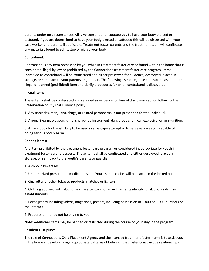parents under no circumstances will give consent or encourage you to have your body pierced or tattooed. If you are determined to have your body pierced or tattooed this will be discussed with your case worker and parents if applicable. Treatment foster parents and the treatment team will confiscate any materials found to self-tattoo or pierce your body.

# **Contraband:**

Contraband is any item possessed by you while in treatment foster care or found within the home that is considered illegal by law or prohibited by the Connections treatment foster care program. Items identified as contraband will be confiscated and either preserved for evidence, destroyed, placed in storage, or sent back to your parents or guardian. The following lists categorize contraband as either an illegal or banned (prohibited) item and clarify procedures for when contraband is discovered.

#### **Illegal items:**

These items shall be confiscated and retained as evidence for formal disciplinary action following the Preservation of Physical Evidence policy.

1. Any narcotics, marijuana, drugs, or related paraphernalia not prescribed for the individual.

2. A gun, firearm, weapon, knife, sharpened instrument, dangerous chemical, explosive, or ammunition.

3. A hazardous tool most likely to be used in an escape attempt or to serve as a weapon capable of doing serious bodily harm.

#### **Banned items:**

Any item prohibited by the treatment foster care program or considered inappropriate for youth in treatment foster care to possess. These items shall be confiscated and either destroyed, placed in storage, or sent back to the youth's parents or guardian.

1. Alcoholic beverages

2. Unauthorized prescription medications and Youth's medication will be placed in the locked box

3. Cigarettes or other tobacco products, matches or lighters

4. Clothing adorned with alcohol or cigarette logos, or advertisements identifying alcohol or drinking establishments

5. Pornography including videos, magazines, posters, including possession of 1-800 or 1-900 numbers or the Internet

6. Property or money not belonging to you

Note: Additional items may be banned or restricted during the course of your stay in the program.

#### **Resident Discipline:**

The role of Connections Child Placement Agency and the licensed treatment foster home is to assist you in the home in developing age appropriate patterns of behavior that foster constructive relationships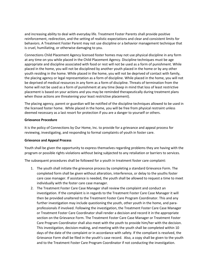and increasing ability to deal with everyday life. Treatment Foster Parents shall provide positive reinforcement, redirection, and the setting of realistic expectations and clear and consistent limits for behaviors. A Treatment Foster Parent may not use discipline or a behavior management technique that is cruel, humiliating, or otherwise damaging to you.

Connections Child Placement Agency licensed foster homes may not use physical discipline in any form at any time on you while placed in the Child Placement Agency. Discipline techniques must be age appropriate and discipline associated with food or rest will not be used as a form of punishment. While placed in the home, you will not be disciplined by another youth placed in the home or by any other youth residing in the home. While placed in the home, you will not be deprived of contact with family, the placing agency or legal representation as a form of discipline. While placed in the home, you will not be deprived of medical resources in any form as a form of discipline. Threats of termination from the home will not be used as a form of punishment at any time (keep in mind that loss of least restrictive placement is based on your actions and you may be reminded therapeutically during treatment plans when those actions are threatening your least restrictive placement).

The placing agency, parent or guardian will be notified of the discipline techniques allowed to be used in the licensed foster home. While placed in the home, you will be free from physical restraint unless deemed necessary as a last resort for protection if you are a danger to yourself or others.

## **Grievance Procedure**

It is the policy of Connections by Our Home, Inc. to provide for a grievance and appeal process for reviewing, investigating, and responding to formal complaints of youth in foster care.

# **Grievance and Appeal Process**

Youth shall be given the opportunity to express themselves regarding problems they are having with the program or possible rights violations without being subjected to any retaliation or barriers to services.

The subsequent procedures shall be followed for a youth in treatment foster care complaint:

- 1. The youth shall initiate the grievance process by completing a standard Grievance Form. The completed form shall be given without alteration, interference, or delay to the youths foster care case manager. If assistance is needed, the youth shall be allowed to request a time to meet individually with the foster care case manager.
- 2. The Treatment Foster Care Case Manager shall review the complaint and conduct an investigation. If the complaint is in regards to the Treatment Foster Care Case Manager it will then be provided unaltered to the Treatment Foster Care Program Coordinator. This and any further investigation may include questioning the youth, other youth in the home, and paraprofessionals if involved. Following the investigation, the Treatment Foster Care Case Manager or Treatment Foster Care Coordinator shall render a decision and record it in the appropriate section on the Grievance Form. The Treatment Foster Care Case Manager or Treatment Foster Care Program Coordinator shall also meet with the youth to provide him/her with the decision. This investigation, decision-making, and meeting with the youth shall be completed within 10 days of the date of the complaint or in accordance with safety. If the compliant is resolved, the Grievance Form shall be filed in the youth's case record. Also, a copy shall be given to the youth and to the Treatment Foster Care Program Coordinator if not conducting the investigation.